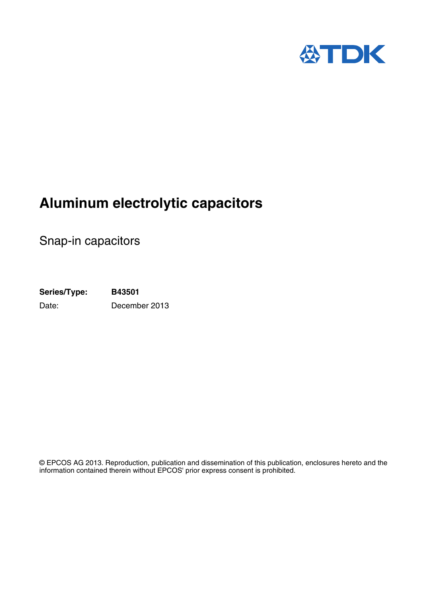

# **Aluminum electrolytic capacitors**

Snap-in capacitors

**Series/Type: B43501** Date: December 2013

© EPCOS AG 2013. Reproduction, publication and dissemination of this publication, enclosures hereto and the information contained therein without EPCOS' prior express consent is prohibited.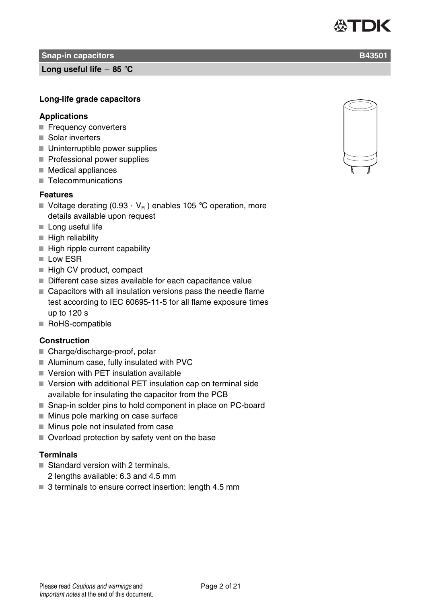**Snap-in capacitors B43501 B43501** 

**Long useful life 85** °**C**

#### **Long-life grade capacitors**

#### **Applications**

- Frequency converters
- Solar inverters
- Uninterruptible power supplies
- $\blacksquare$  Professional power supplies
- $\blacksquare$  Medical appliances
- Telecommunications

#### **Features**

- Voltage derating (0.93  $\cdot$  V<sub>B</sub>) enables 105 °C operation, more details available upon request
- $\blacksquare$  Long useful life
- $\blacksquare$  High reliability
- $\blacksquare$  High ripple current capability
- Low ESR
- High CV product, compact
- Different case sizes available for each capacitance value
- Capacitors with all insulation versions pass the needle flame test according to IEC 60695-11-5 for all flame exposure times up to 120 s
- RoHS-compatible

## **Construction**

- Charge/discharge-proof, polar
- Aluminum case, fully insulated with PVC
- Version with PET insulation available
- Version with additional PET insulation cap on terminal side available for insulating the capacitor from the PCB
- Snap-in solder pins to hold component in place on PC-board
- **Minus pole marking on case surface**
- $\blacksquare$  Minus pole not insulated from case
- Overload protection by safety vent on the base

#### **Terminals**

- $\blacksquare$  Standard version with 2 terminals,
	- 2 lengths available: 6.3 and 4.5 mm
- 3 terminals to ensure correct insertion: length 4.5 mm



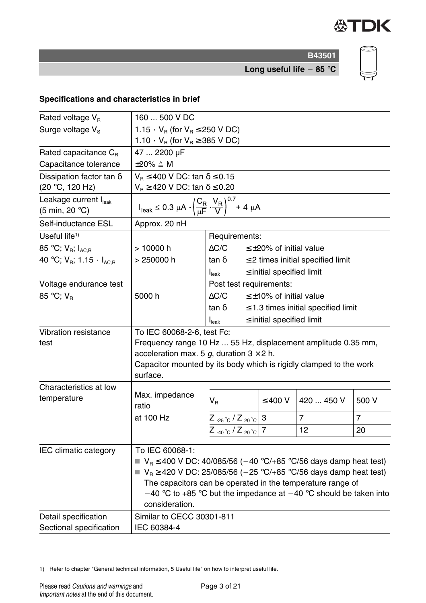

**B43501 Long useful life 85** °**C**

# **Specifications and characteristics in brief**

| Rated voltage V <sub>R</sub>                                  | 160  500 V DC                                                                                                                                |                                                                  |                                  |                                          |       |  |  |
|---------------------------------------------------------------|----------------------------------------------------------------------------------------------------------------------------------------------|------------------------------------------------------------------|----------------------------------|------------------------------------------|-------|--|--|
| Surge voltage V <sub>s</sub>                                  |                                                                                                                                              | 1.15 $\cdot$ V <sub>B</sub> (for V <sub>B</sub> $\leq$ 250 V DC) |                                  |                                          |       |  |  |
|                                                               |                                                                                                                                              | 1.10 $\cdot$ V <sub>R</sub> (for V <sub>R</sub> $\geq$ 385 V DC) |                                  |                                          |       |  |  |
| Rated capacitance C <sub>R</sub>                              | 47  2200 µF                                                                                                                                  |                                                                  |                                  |                                          |       |  |  |
| Capacitance tolerance                                         | $\pm 20\% \triangleq M$                                                                                                                      |                                                                  |                                  |                                          |       |  |  |
| Dissipation factor tan $\delta$                               | $V_R \le 400$ V DC: tan $\delta \le 0.15$                                                                                                    |                                                                  |                                  |                                          |       |  |  |
| (20 °C, 120 Hz)                                               | $V_R \ge 420$ V DC: tan $\delta \le 0.20$                                                                                                    |                                                                  |                                  |                                          |       |  |  |
| Leakage current I <sub>leak</sub><br>(5 min, 20 $^{\circ}$ C) | $I_{\text{leak}} \le 0.3 \ \mu A \cdot \left(\frac{C_R}{\mu F} \cdot \frac{V_R}{V}\right)^{0.7} + 4 \ \mu A$                                 |                                                                  |                                  |                                          |       |  |  |
| Self-inductance ESL                                           | Approx. 20 nH                                                                                                                                |                                                                  |                                  |                                          |       |  |  |
| Useful life <sup>1)</sup>                                     |                                                                                                                                              | Requirements:                                                    |                                  |                                          |       |  |  |
| 85 °C; $V_R$ ; $I_{AC,R}$                                     | > 10000 h                                                                                                                                    | $\Delta C/C$                                                     | $\leq$ +20% of initial value     |                                          |       |  |  |
| 40 °C; $V_{R}$ ; 1.15 $\cdot$ $I_{AC,R}$                      | > 250000 h                                                                                                                                   | $\tan \delta$                                                    |                                  | $\leq$ 2 times initial specified limit   |       |  |  |
|                                                               |                                                                                                                                              | $\boldsymbol{\mathsf{I}}_{\mathsf{leak}}$                        | $\leq$ initial specified limit   |                                          |       |  |  |
| Voltage endurance test                                        |                                                                                                                                              | Post test requirements:                                          |                                  |                                          |       |  |  |
| 85 °C; $V_R$                                                  | 5000 h                                                                                                                                       | $\Delta C/C$                                                     | $\leq \pm 10\%$ of initial value |                                          |       |  |  |
|                                                               |                                                                                                                                              | tan δ                                                            |                                  | $\leq$ 1.3 times initial specified limit |       |  |  |
|                                                               |                                                                                                                                              | I <sub>leak</sub>                                                | $\leq$ initial specified limit   |                                          |       |  |  |
| <b>Vibration resistance</b>                                   | To IEC 60068-2-6, test Fc:                                                                                                                   |                                                                  |                                  |                                          |       |  |  |
| test                                                          | Frequency range 10 Hz  55 Hz, displacement amplitude 0.35 mm,                                                                                |                                                                  |                                  |                                          |       |  |  |
|                                                               | acceleration max. 5 g, duration $3 \times 2$ h.                                                                                              |                                                                  |                                  |                                          |       |  |  |
|                                                               | Capacitor mounted by its body which is rigidly clamped to the work                                                                           |                                                                  |                                  |                                          |       |  |  |
|                                                               | surface.                                                                                                                                     |                                                                  |                                  |                                          |       |  |  |
| Characteristics at low                                        | Max. impedance                                                                                                                               |                                                                  |                                  |                                          |       |  |  |
| temperature                                                   | ratio                                                                                                                                        | $V_{B}$                                                          | $\leq 400$ V                     | 420  450 V                               | 500 V |  |  |
|                                                               | at 100 Hz                                                                                                                                    | $Z_{-25\degree}C/Z_{-20\degree}C$ 3                              |                                  | $\overline{7}$                           | 7     |  |  |
|                                                               |                                                                                                                                              | $Z_{-40\degree}C/Z_{20\degree}C$ 7                               |                                  | 12                                       | 20    |  |  |
|                                                               |                                                                                                                                              |                                                                  |                                  |                                          |       |  |  |
| IEC climatic category                                         | To IEC 60068-1:                                                                                                                              |                                                                  |                                  |                                          |       |  |  |
|                                                               | $V_R \le 400$ V DC: 40/085/56 (-40 °C/+85 °C/56 days damp heat test)<br>$V_R \ge 420$ V DC: 25/085/56 (-25 °C/+85 °C/56 days damp heat test) |                                                                  |                                  |                                          |       |  |  |
|                                                               |                                                                                                                                              |                                                                  |                                  |                                          |       |  |  |
|                                                               | The capacitors can be operated in the temperature range of<br>$-40$ °C to +85 °C but the impedance at $-40$ °C should be taken into          |                                                                  |                                  |                                          |       |  |  |
|                                                               | consideration.                                                                                                                               |                                                                  |                                  |                                          |       |  |  |
| Detail specification                                          | Similar to CECC 30301-811                                                                                                                    |                                                                  |                                  |                                          |       |  |  |
| Sectional specification                                       | IEC 60384-4                                                                                                                                  |                                                                  |                                  |                                          |       |  |  |

1) Refer to chapter "General technical information, 5 Useful life" on how to interpret useful life.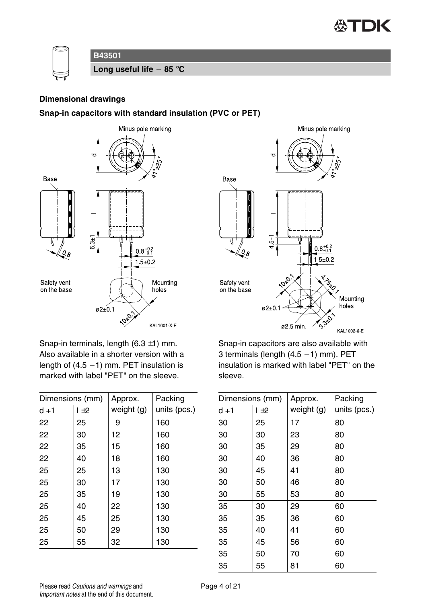



#### **Dimensional drawings**

#### **Snap-in capacitors with standard insulation (PVC or PET)**





Snap-in terminals, length  $(6.3 \pm 1)$  mm. Also available in a shorter version with a length of  $(4.5 - 1)$  mm. PET insulation is marked with label "PET" on the sleeve.

| Dimensions (mm) |     | Approx.    | Packing      |  |
|-----------------|-----|------------|--------------|--|
| $d + 1$         | 1±2 | weight (g) | units (pcs.) |  |
| 22              | 25  | 9          | 160          |  |
| 22              | 30  | 12         | 160          |  |
| 22              | 35  | 15         | 160          |  |
| 22              | 40  | 18         | 160          |  |
| 25              | 25  | 13         | 130          |  |
| 25              | 30  | 17         | 130          |  |
| 25              | 35  | 19         | 130          |  |
| 25              | 40  | 22         | 130          |  |
| 25              | 45  | 25         | 130          |  |
| 25              | 50  | 29         | 130          |  |
| 25              | 55  | 32         | 130          |  |

Snap-in capacitors are also available with 3 terminals (length  $(4.5 - 1)$  mm). PET insulation is marked with label "PET" on the sleeve.

| Dimensions (mm) |     | Approx.    | Packing      |  |
|-----------------|-----|------------|--------------|--|
| $d + 1$         | 1±2 | weight (g) | units (pcs.) |  |
| 30              | 25  | 17         | 80           |  |
| 30              | 30  | 23         | 80           |  |
| 30              | 35  | 29         | 80           |  |
| 30              | 40  | 36         | 80           |  |
| 30              | 45  | 41         | 80           |  |
| 30              | 50  | 46         | 80           |  |
| 30              | 55  | 53         | 80           |  |
| 35              | 30  | 29         | 60           |  |
| 35              | 35  | 36         | 60           |  |
| 35              | 40  | 41         | 60           |  |
| 35              | 45  | 56         | 60           |  |
| 35              | 50  | 70         | 60           |  |
| 35              | 55  | 81         | 60           |  |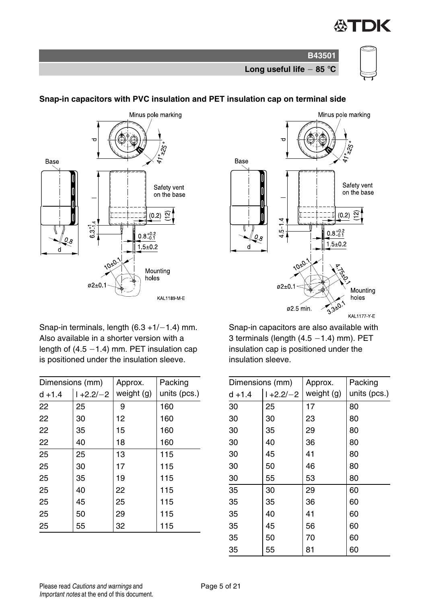







## **Snap-in capacitors with PVC insulation and PET insulation cap on terminal side**



Snap-in terminals, length  $(6.3 +1/-1.4)$  mm. Also available in a shorter version with a length of  $(4.5 - 1.4)$  mm. PET insulation cap is positioned under the insulation sleeve.

| Dimensions (mm) |               | Approx.    | Packing      |
|-----------------|---------------|------------|--------------|
| $d + 1.4$       | $1 + 2.2 - 2$ | weight (g) | units (pcs.) |
| 22              | 25            | 9          | 160          |
| 22              | 30            | 12         | 160          |
| 22              | 35            | 15         | 160          |
| 22              | 40            | 18         | 160          |
| 25              | 25            | 13         | 115          |
| 25              | 30            | 17         | 115          |
| 25              | 35            | 19         | 115          |
| 25              | 40            | 22         | 115          |
| 25              | 45            | 25         | 115          |
| 25              | 50            | 29         | 115          |
| 25              | 55            | 32         | 115          |

Snap-in capacitors are also available with 3 terminals (length  $(4.5 - 1.4)$  mm). PET insulation cap is positioned under the insulation sleeve.

| Dimensions (mm) |               | Approx.      | Packing      |
|-----------------|---------------|--------------|--------------|
| $d + 1.4$       | $1 + 2.2 - 2$ | weight $(g)$ | units (pcs.) |
| 30              | 25            | 17           | 80           |
| 30              | 30            | 23           | 80           |
| 30              | 35            | 29           | 80           |
| 30              | 40            | 36           | 80           |
| 30              | 45            | 41           | 80           |
| 30              | 50            | 46           | 80           |
| 30              | 55            | 53           | 80           |
| 35              | 30            | 29           | 60           |
| 35              | 35            | 36           | 60           |
| 35              | 40            | 41           | 60           |
| 35              | 45            | 56           | 60           |
| 35              | 50            | 70           | 60           |
| 35              | 55            | 81           | 60           |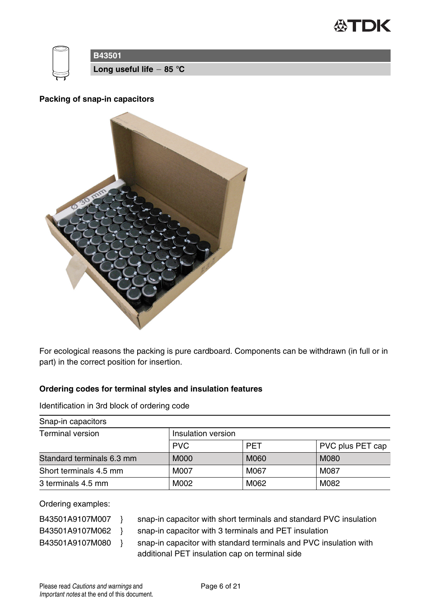



#### **Packing of snap-in capacitors**



For ecological reasons the packing is pure cardboard. Components can be withdrawn (in full or in part) in the correct position for insertion.

#### **Ordering codes for terminal styles and insulation features**

Identification in 3rd block of ordering code

| Snap-in capacitors        |             |                    |                  |  |  |  |
|---------------------------|-------------|--------------------|------------------|--|--|--|
| Terminal version          |             | Insulation version |                  |  |  |  |
|                           | <b>PVC</b>  | <b>PFT</b>         | PVC plus PET cap |  |  |  |
| Standard terminals 6.3 mm | <b>M000</b> | M060               | M080             |  |  |  |
| Short terminals 4.5 mm    | M007        | M067               | M087             |  |  |  |
| 3 terminals 4.5 mm        | M002        | M062               | M082             |  |  |  |

Ordering examples:

| B43501A9107M007 | snap-in capacitor with short terminals and standard PVC insulation |
|-----------------|--------------------------------------------------------------------|
| B43501A9107M062 | snap-in capacitor with 3 terminals and PET insulation              |
| B43501A9107M080 | snap-in capacitor with standard terminals and PVC insulation with  |
|                 | additional PET insulation cap on terminal side                     |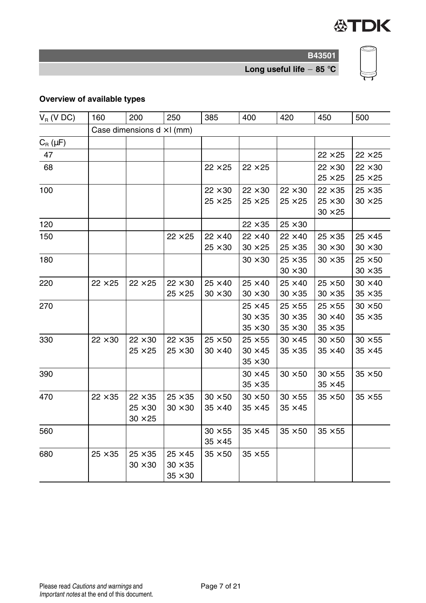

**Long useful life 85** °**C**

# **Overview of available types**

| $V_R$ (V DC) | 160                               | 200            | 250            | 385            | 400            | 420            | 450            | 500            |  |
|--------------|-----------------------------------|----------------|----------------|----------------|----------------|----------------|----------------|----------------|--|
|              | Case dimensions $d \times l$ (mm) |                |                |                |                |                |                |                |  |
| $C_R(\mu F)$ |                                   |                |                |                |                |                |                |                |  |
| 47           |                                   |                |                |                |                |                | $22 \times 25$ | $22 \times 25$ |  |
| 68           |                                   |                |                | $22 \times 25$ | $22 \times 25$ |                | $22 \times 30$ | $22 \times 30$ |  |
|              |                                   |                |                |                |                |                | $25 \times 25$ | $25 \times 25$ |  |
| 100          |                                   |                |                | $22 \times 30$ | $22 \times 30$ | $22 \times 30$ | $22 \times 35$ | $25 \times 35$ |  |
|              |                                   |                |                | $25 \times 25$ | $25 \times 25$ | $25 \times 25$ | $25 \times 30$ | $30 \times 25$ |  |
|              |                                   |                |                |                |                |                | $30 \times 25$ |                |  |
| 120          |                                   |                |                |                | $22 \times 35$ | $25 \times 30$ |                |                |  |
| 150          |                                   |                | $22 \times 25$ | $22 \times 40$ | $22 \times 40$ | $22 \times 40$ | $25 \times 35$ | $25 \times 45$ |  |
|              |                                   |                |                | $25\times30$   | $30 \times 25$ | $25 \times 35$ | $30\times30$   | $30 \times 30$ |  |
| 180          |                                   |                |                |                | $30 \times 30$ | $25 \times 35$ | $30 \times 35$ | $25 \times 50$ |  |
|              |                                   |                |                |                |                | $30 \times 30$ |                | $30 \times 35$ |  |
| 220          | $22 \times 25$                    | $22 \times 25$ | $22 \times 30$ | $25 \times 40$ | $25 \times 40$ | $25 \times 40$ | $25 \times 50$ | $30 \times 40$ |  |
|              |                                   |                | $25 \times 25$ | $30\times30$   | $30 \times 30$ | $30\times35$   | $30\times35$   | $35 \times 35$ |  |
| 270          |                                   |                |                |                | $25 \times 45$ | $25 \times 55$ | $25 \times 55$ | $30 \times 50$ |  |
|              |                                   |                |                |                | $30 \times 35$ | $30 \times 35$ | $30 \times 40$ | $35 \times 35$ |  |
|              |                                   |                |                |                | $35 \times 30$ | $35\times30$   | $35\times35$   |                |  |
| 330          | $22 \times 30$                    | $22 \times 30$ | $22 \times 35$ | $25 \times 50$ | $25 \times 55$ | $30 \times 45$ | $30 \times 50$ | $30 \times 55$ |  |
|              |                                   | $25 \times 25$ | $25 \times 30$ | $30 \times 40$ | $30 \times 45$ | $35 \times 35$ | $35 \times 40$ | $35 \times 45$ |  |
|              |                                   |                |                |                | $35 \times 30$ |                |                |                |  |
| 390          |                                   |                |                |                | $30 \times 45$ | $30 \times 50$ | $30 \times 55$ | $35 \times 50$ |  |
|              |                                   |                |                |                | $35 \times 35$ |                | $35\times45$   |                |  |
| 470          | $22 \times 35$                    | $22 \times 35$ | $25 \times 35$ | $30 \times 50$ | $30 \times 50$ | $30 \times 55$ | $35 \times 50$ | $35 \times 55$ |  |
|              |                                   | $25 \times 30$ | $30 \times 30$ | $35 \times 40$ | $35 \times 45$ | $35 \times 45$ |                |                |  |
|              |                                   | $30 \times 25$ |                |                |                |                |                |                |  |
| 560          |                                   |                |                | $30 \times 55$ | $35 \times 45$ | $35 \times 50$ | $35 \times 55$ |                |  |
|              |                                   |                |                | $35 \times 45$ |                |                |                |                |  |
| 680          | $25 \times 35$                    | $25 \times 35$ | $25 \times 45$ | $35 \times 50$ | $35 \times 55$ |                |                |                |  |
|              |                                   | $30 \times 30$ | $30 \times 35$ |                |                |                |                |                |  |
|              |                                   |                | $35 \times 30$ |                |                |                |                |                |  |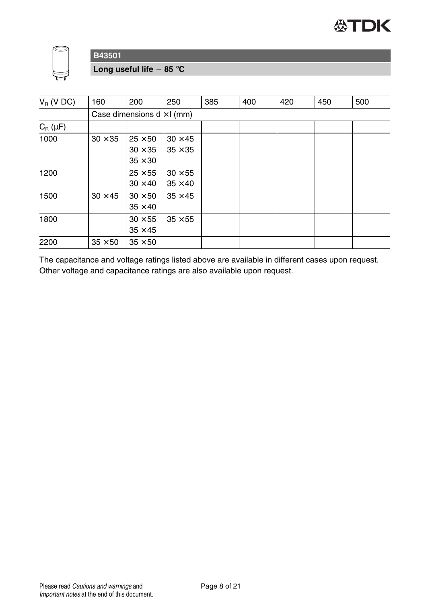



**Long useful life 85** °**C**

| $V_R$ (V DC) | 160            | 200                                                | 250                              | 385 | 400 | 420 | 450 | 500 |  |
|--------------|----------------|----------------------------------------------------|----------------------------------|-----|-----|-----|-----|-----|--|
|              |                | Case dimensions $d \times l$ (mm)                  |                                  |     |     |     |     |     |  |
| $C_R(\mu F)$ |                |                                                    |                                  |     |     |     |     |     |  |
| 1000         | $30 \times 35$ | $25 \times 50$<br>$30 \times 35$<br>$35 \times 30$ | $30 \times 45$<br>$35 \times 35$ |     |     |     |     |     |  |
| 1200         |                | $25 \times 55$<br>$30 \times 40$                   | $30 \times 55$<br>$35 \times 40$ |     |     |     |     |     |  |
| 1500         | $30 \times 45$ | $30 \times 50$<br>$35 \times 40$                   | $35 \times 45$                   |     |     |     |     |     |  |
| 1800         |                | $30 \times 55$<br>$35 \times 45$                   | $35 \times 55$                   |     |     |     |     |     |  |
| 2200         | $35 \times 50$ | $35 \times 50$                                     |                                  |     |     |     |     |     |  |

The capacitance and voltage ratings listed above are available in different cases upon request. Other voltage and capacitance ratings are also available upon request.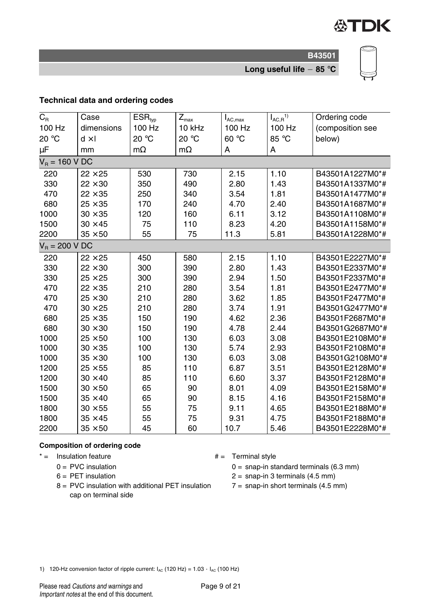

**Long useful life 85** °**C**

#### **Technical data and ordering codes**

| $\overline{C_{\rm R}}$ | Case           | $\overline{\mathsf{ESR}}_{\mathsf{typ}}$ | $\overline{Z}_{\text{max}}$ | $I_{AC,max}$ | $I_{AC,R}^{1}$ | Ordering code    |
|------------------------|----------------|------------------------------------------|-----------------------------|--------------|----------------|------------------|
| 100 Hz                 | dimensions     | 100 Hz                                   | 10 kHz                      | 100 Hz       | 100 Hz         | (composition see |
| 20 °C                  | $d \times I$   | 20 °C                                    | 20 °C                       | 60 °C        | 85 °C          | below)           |
| $\mu$ F                | mm             | $m\Omega$                                | $m\Omega$                   | А            | A              |                  |
| $V_R = 160 V DC$       |                |                                          |                             |              |                |                  |
| 220                    | $22 \times 25$ | 530                                      | 730                         | 2.15         | 1.10           | B43501A1227M0*#  |
| 330                    | $22 \times 30$ | 350                                      | 490                         | 2.80         | 1.43           | B43501A1337M0*#  |
| 470                    | $22 \times 35$ | 250                                      | 340                         | 3.54         | 1.81           | B43501A1477M0*#  |
| 680                    | $25 \times 35$ | 170                                      | 240                         | 4.70         | 2.40           | B43501A1687M0*#  |
| 1000                   | $30\times35$   | 120                                      | 160                         | 6.11         | 3.12           | B43501A1108M0*#  |
| 1500                   | $30 \times 45$ | 75                                       | 110                         | 8.23         | 4.20           | B43501A1158M0*#  |
| 2200                   | $35 \times 50$ | 55                                       | 75                          | 11.3         | 5.81           | B43501A1228M0*#  |
| $V_R = 200 V DC$       |                |                                          |                             |              |                |                  |
| 220                    | $22 \times 25$ | 450                                      | 580                         | 2.15         | 1.10           | B43501E2227M0*#  |
| 330                    | $22 \times 30$ | 300                                      | 390                         | 2.80         | 1.43           | B43501E2337M0*#  |
| 330                    | $25 \times 25$ | 300                                      | 390                         | 2.94         | 1.50           | B43501F2337M0*#  |
| 470                    | $22 \times 35$ | 210                                      | 280                         | 3.54         | 1.81           | B43501E2477M0*#  |
| 470                    | $25 \times 30$ | 210                                      | 280                         | 3.62         | 1.85           | B43501F2477M0*#  |
| 470                    | $30 \times 25$ | 210                                      | 280                         | 3.74         | 1.91           | B43501G2477M0*#  |
| 680                    | $25 \times 35$ | 150                                      | 190                         | 4.62         | 2.36           | B43501F2687M0*#  |
| 680                    | $30 \times 30$ | 150                                      | 190                         | 4.78         | 2.44           | B43501G2687M0*#  |
| 1000                   | $25 \times 50$ | 100                                      | 130                         | 6.03         | 3.08           | B43501E2108M0*#  |
| 1000                   | $30 \times 35$ | 100                                      | 130                         | 5.74         | 2.93           | B43501F2108M0*#  |
| 1000                   | $35 \times 30$ | 100                                      | 130                         | 6.03         | 3.08           | B43501G2108M0*#  |
| 1200                   | $25 \times 55$ | 85                                       | 110                         | 6.87         | 3.51           | B43501E2128M0*#  |
| 1200                   | $30 \times 40$ | 85                                       | 110                         | 6.60         | 3.37           | B43501F2128M0*#  |
| 1500                   | $30 \times 50$ | 65                                       | 90                          | 8.01         | 4.09           | B43501E2158M0*#  |
| 1500                   | $35 \times 40$ | 65                                       | 90                          | 8.15         | 4.16           | B43501F2158M0*#  |
| 1800                   | $30 \times 55$ | 55                                       | 75                          | 9.11         | 4.65           | B43501E2188M0*#  |
| 1800                   | $35 \times 45$ | 55                                       | 75                          | 9.31         | 4.75           | B43501F2188M0*#  |
| 2200                   | $35 \times 50$ | 45                                       | 60                          | 10.7         | 5.46           | B43501E2228M0*#  |

#### **Composition of ordering code**

 $* =$  Insulation feature  $* =$  Terminal style

- $0 =$  PVC insulation
- $6 = PET$  insulation
- 8 = PVC insulation with additional PET insulation cap on terminal side
- - $0 =$  snap-in standard terminals (6.3 mm)
	- $2 =$  snap-in 3 terminals  $(4.5 \text{ mm})$
	- $7 =$  snap-in short terminals (4.5 mm)

1) 120-Hz conversion factor of ripple current:  $I_{AC}$  (120 Hz) = 1.03  $\cdot$   $I_{AC}$  (100 Hz)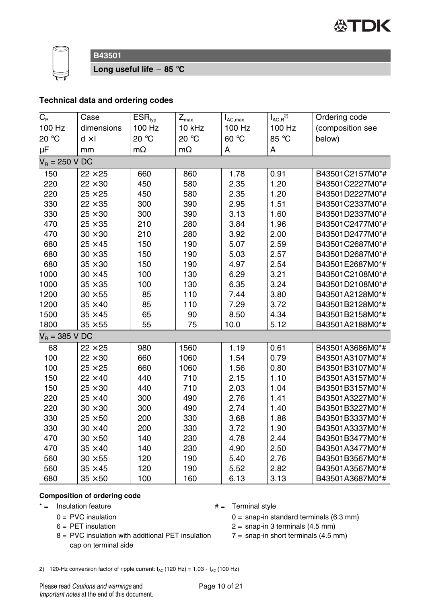



**Long useful life 85** °**C**

# **Technical data and ordering codes**

| $\overline{C}_{\text{R}}$ | Case           | ESR <sub>typ</sub> | $Z_{\rm max}$ | $I_{AC,max}$ | $I_{AC,R}^{2)}$ | Ordering code    |
|---------------------------|----------------|--------------------|---------------|--------------|-----------------|------------------|
| 100 Hz                    | dimensions     | 100 Hz             | 10 kHz        | 100 Hz       | 100 Hz          | (composition see |
| 20 °C                     | $d \times I$   | 20 °C              | 20 °C         | 60 °C        | 85 °C           | below)           |
| μF                        | mm             | $m\Omega$          | $m\Omega$     | А            | А               |                  |
| $V_R = 250$ V DC          |                |                    |               |              |                 |                  |
| 150                       | $22 \times 25$ | 660                | 860           | 1.78         | 0.91            | B43501C2157M0*#  |
| 220                       | $22 \times 30$ | 450                | 580           | 2.35         | 1.20            | B43501C2227M0*#  |
| 220                       | $25 \times 25$ | 450                | 580           | 2.35         | 1.20            | B43501D2227M0*#  |
| 330                       | $22 \times 35$ | 300                | 390           | 2.95         | 1.51            | B43501C2337M0*#  |
| 330                       | $25 \times 30$ | 300                | 390           | 3.13         | 1.60            | B43501D2337M0*#  |
| 470                       | $25 \times 35$ | 210                | 280           | 3.84         | 1.96            | B43501C2477M0*#  |
| 470                       | $30 \times 30$ | 210                | 280           | 3.92         | 2.00            | B43501D2477M0*#  |
| 680                       | $25 \times 45$ | 150                | 190           | 5.07         | 2.59            | B43501C2687M0*#  |
| 680                       | $30 \times 35$ | 150                | 190           | 5.03         | 2.57            | B43501D2687M0*#  |
| 680                       | $35 \times 30$ | 150                | 190           | 4.97         | 2.54            | B43501E2687M0*#  |
| 1000                      | $30 \times 45$ | 100                | 130           | 6.29         | 3.21            | B43501C2108M0*#  |
| 1000                      | $35 \times 35$ | 100                | 130           | 6.35         | 3.24            | B43501D2108M0*#  |
| 1200                      | $30 \times 55$ | 85                 | 110           | 7.44         | 3.80            | B43501A2128M0*#  |
| 1200                      | $35 \times 40$ | 85                 | 110           | 7.29         | 3.72            | B43501B2128M0*#  |
| 1500                      | $35 \times 45$ | 65                 | 90            | 8.50         | 4.34            | B43501B2158M0*#  |
| 1800                      | $35 \times 55$ | 55                 | 75            | 10.0         | 5.12            | B43501A2188M0*#  |
| $V_R = 385$ V DC          |                |                    |               |              |                 |                  |
| 68                        | $22 \times 25$ | 980                | 1560          | 1.19         | 0.61            | B43501A3686M0*#  |
| 100                       | $22 \times 30$ | 660                | 1060          | 1.54         | 0.79            | B43501A3107M0*#  |
| 100                       | $25 \times 25$ | 660                | 1060          | 1.56         | 0.80            | B43501B3107M0*#  |
| 150                       | $22 \times 40$ | 440                | 710           | 2.15         | 1.10            | B43501A3157M0*#  |
| 150                       | $25 \times 30$ | 440                | 710           | 2.03         | 1.04            | B43501B3157M0*#  |
| 220                       | $25 \times 40$ | 300                | 490           | 2.76         | 1.41            | B43501A3227M0*#  |
| 220                       | $30 \times 30$ | 300                | 490           | 2.74         | 1.40            | B43501B3227M0*#  |
| 330                       | $25 \times 50$ | 200                | 330           | 3.68         | 1.88            | B43501B3337M0*#  |
| 330                       | $30 \times 40$ | 200                | 330           | 3.72         | 1.90            | B43501A3337M0*#  |
| 470                       | $30 \times 50$ | 140                | 230           | 4.78         | 2.44            | B43501B3477M0*#  |
| 470                       | $35 \times 40$ | 140                | 230           | 4.90         | 2.50            | B43501A3477M0*#  |
| 560                       | $30 \times 55$ | 120                | 190           | 5.40         | 2.76            | B43501B3567M0*#  |
| 560                       | $35 \times 45$ | 120                | 190           | 5.52         | 2.82            | B43501A3567M0*#  |
| 680                       | $35 \times 50$ | 100                | 160           | 6.13         | 3.13            | B43501A3687M0*#  |

#### **Composition of ordering code**

- $* =$  Insulation feature  $# =$ Terminal style
	- $0 =$  PVC insulation
	- $6 = PET$  insulation
	- 8 = PVC insulation with additional PET insulation cap on terminal side
- - 0 = snap-in standard terminals (6.3 mm)
	- $2 =$  snap-in 3 terminals (4.5 mm)
	- $7 =$  snap-in short terminals (4.5 mm)
- 2) 120-Hz conversion factor of ripple current:  $I_{AC}$  (120 Hz) = 1.03  $\cdot$   $I_{AC}$  (100 Hz)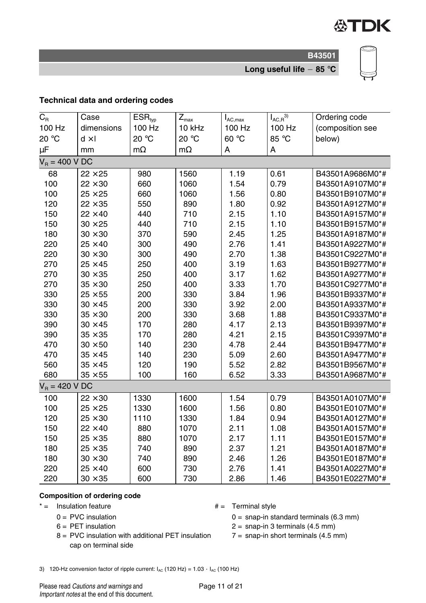

**B43501 Long useful life 85** °**C**



**Technical data and ordering codes**

| $C_{R}$          | Case           | $\overline{\mathsf{ESR}}_{\mathsf{typ}}$ | $Z_{\text{max}}$ | $I_{AC,max}$ | $I_{AC,R}^{(3)}$ | Ordering code    |
|------------------|----------------|------------------------------------------|------------------|--------------|------------------|------------------|
| 100 Hz           | dimensions     | 100 Hz                                   | 10 kHz           | 100 Hz       | 100 Hz           | (composition see |
| 20 °C            | $d \times I$   | 20 °C                                    | 20 °C            | 60 °C        | 85 °C            | below)           |
| $\mu$ F          | mm             | $m\Omega$                                | $m\Omega$        | A            | A                |                  |
| $V_R = 400 V DC$ |                |                                          |                  |              |                  |                  |
| 68               | $22 \times 25$ | 980                                      | 1560             | 1.19         | 0.61             | B43501A9686M0*#  |
| 100              | $22 \times 30$ | 660                                      | 1060             | 1.54         | 0.79             | B43501A9107M0*#  |
| 100              | $25 \times 25$ | 660                                      | 1060             | 1.56         | 0.80             | B43501B9107M0*#  |
| 120              | $22 \times 35$ | 550                                      | 890              | 1.80         | 0.92             | B43501A9127M0*#  |
| 150              | $22 \times 40$ | 440                                      | 710              | 2.15         | 1.10             | B43501A9157M0*#  |
| 150              | $30 \times 25$ | 440                                      | 710              | 2.15         | 1.10             | B43501B9157M0*#  |
| 180              | $30 \times 30$ | 370                                      | 590              | 2.45         | 1.25             | B43501A9187M0*#  |
| 220              | $25 \times 40$ | 300                                      | 490              | 2.76         | 1.41             | B43501A9227M0*#  |
| 220              | $30 \times 30$ | 300                                      | 490              | 2.70         | 1.38             | B43501C9227M0*#  |
| 270              | $25 \times 45$ | 250                                      | 400              | 3.19         | 1.63             | B43501B9277M0*#  |
| 270              | $30 \times 35$ | 250                                      | 400              | 3.17         | 1.62             | B43501A9277M0*#  |
| 270              | $35 \times 30$ | 250                                      | 400              | 3.33         | 1.70             | B43501C9277M0*#  |
| 330              | $25 \times 55$ | 200                                      | 330              | 3.84         | 1.96             | B43501B9337M0*#  |
| 330              | $30 \times 45$ | 200                                      | 330              | 3.92         | 2.00             | B43501A9337M0*#  |
| 330              | $35 \times 30$ | 200                                      | 330              | 3.68         | 1.88             | B43501C9337M0*#  |
| 390              | $30 \times 45$ | 170                                      | 280              | 4.17         | 2.13             | B43501B9397M0*#  |
| 390              | $35 \times 35$ | 170                                      | 280              | 4.21         | 2.15             | B43501C9397M0*#  |
| 470              | $30 \times 50$ | 140                                      | 230              | 4.78         | 2.44             | B43501B9477M0*#  |
| 470              | $35 \times 45$ | 140                                      | 230              | 5.09         | 2.60             | B43501A9477M0*#  |
| 560              | $35 \times 45$ | 120                                      | 190              | 5.52         | 2.82             | B43501B9567M0*#  |
| 680              | $35 \times 55$ | 100                                      | 160              | 6.52         | 3.33             | B43501A9687M0*#  |
| $V_R = 420 V DC$ |                |                                          |                  |              |                  |                  |
| 100              | $22 \times 30$ | 1330                                     | 1600             | 1.54         | 0.79             | B43501A0107M0*#  |
| 100              | $25 \times 25$ | 1330                                     | 1600             | 1.56         | 0.80             | B43501E0107M0*#  |
| 120              | $25 \times 30$ | 1110                                     | 1330             | 1.84         | 0.94             | B43501A0127M0*#  |
| 150              | $22 \times 40$ | 880                                      | 1070             | 2.11         | 1.08             | B43501A0157M0*#  |
| 150              | $25 \times 35$ | 880                                      | 1070             | 2.17         | 1.11             | B43501E0157M0*#  |
| 180              | $25 \times 35$ | 740                                      | 890              | 2.37         | 1.21             | B43501A0187M0*#  |
| 180              | $30 \times 30$ | 740                                      | 890              | 2.46         | 1.26             | B43501E0187M0*#  |
| 220              | $25 \times 40$ | 600                                      | 730              | 2.76         | 1.41             | B43501A0227M0*#  |
| 220              | $30 \times 35$ | 600                                      | 730              | 2.86         | 1.46             | B43501E0227M0*#  |

#### **Composition of ordering code**

- $* =$  Insulation feature  $* =$  Terminal style
	- $0 =$  PVC insulation
	- $6 = PET$  insulation
	- 8 = PVC insulation with additional PET insulation cap on terminal side
- - 0 = snap-in standard terminals (6.3 mm)

 $2 =$  snap-in 3 terminals (4.5 mm)

- 
- $7 =$  snap-in short terminals (4.5 mm)

3) 120-Hz conversion factor of ripple current:  $I_{AC}$  (120 Hz) = 1.03  $\cdot$   $I_{AC}$  (100 Hz)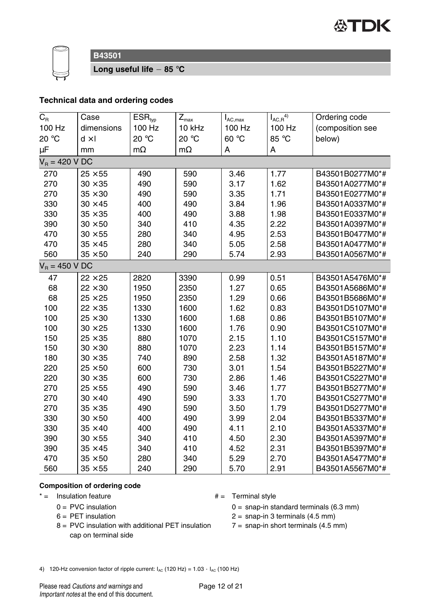



**Long useful life 85** °**C**

#### **Technical data and ordering codes**

| $C_R$            | Case           | $ESR_{typ}$ | $Z_{\text{max}}$ | $I_{AC,max}$ | $I_{AC,R}^{(4)}$ | Ordering code    |
|------------------|----------------|-------------|------------------|--------------|------------------|------------------|
| 100 Hz           | dimensions     | 100 Hz      | 10 kHz           | 100 Hz       | 100 Hz           | (composition see |
| 20 °C            | $d \times I$   | 20 °C       | 20 °C            | 60 °C        | 85 °C            | below)           |
| μF               | mm             | $m\Omega$   | $m\Omega$        | А            | А                |                  |
| $V_R = 420 V DC$ |                |             |                  |              |                  |                  |
| 270              | $25 \times 55$ | 490         | 590              | 3.46         | 1.77             | B43501B0277M0*#  |
| 270              | $30 \times 35$ | 490         | 590              | 3.17         | 1.62             | B43501A0277M0*#  |
| 270              | $35 \times 30$ | 490         | 590              | 3.35         | 1.71             | B43501E0277M0*#  |
| 330              | $30 \times 45$ | 400         | 490              | 3.84         | 1.96             | B43501A0337M0*#  |
| 330              | $35 \times 35$ | 400         | 490              | 3.88         | 1.98             | B43501E0337M0*#  |
| 390              | $30 \times 50$ | 340         | 410              | 4.35         | 2.22             | B43501A0397M0*#  |
| 470              | $30 \times 55$ | 280         | 340              | 4.95         | 2.53             | B43501B0477M0*#  |
| 470              | $35 \times 45$ | 280         | 340              | 5.05         | 2.58             | B43501A0477M0*#  |
| 560              | $35 \times 50$ | 240         | 290              | 5.74         | 2.93             | B43501A0567M0*#  |
| $V_R = 450 V DC$ |                |             |                  |              |                  |                  |
| 47               | $22 \times 25$ | 2820        | 3390             | 0.99         | 0.51             | B43501A5476M0*#  |
| 68               | $22 \times 30$ | 1950        | 2350             | 1.27         | 0.65             | B43501A5686M0*#  |
| 68               | $25 \times 25$ | 1950        | 2350             | 1.29         | 0.66             | B43501B5686M0*#  |
| 100              | $22 \times 35$ | 1330        | 1600             | 1.62         | 0.83             | B43501D5107M0*#  |
| 100              | $25 \times 30$ | 1330        | 1600             | 1.68         | 0.86             | B43501B5107M0*#  |
| 100              | $30 \times 25$ | 1330        | 1600             | 1.76         | 0.90             | B43501C5107M0*#  |
| 150              | $25 \times 35$ | 880         | 1070             | 2.15         | 1.10             | B43501C5157M0*#  |
| 150              | $30 \times 30$ | 880         | 1070             | 2.23         | 1.14             | B43501B5157M0*#  |
| 180              | $30 \times 35$ | 740         | 890              | 2.58         | 1.32             | B43501A5187M0*#  |
| 220              | $25 \times 50$ | 600         | 730              | 3.01         | 1.54             | B43501B5227M0*#  |
| 220              | $30 \times 35$ | 600         | 730              | 2.86         | 1.46             | B43501C5227M0*#  |
| 270              | $25 \times 55$ | 490         | 590              | 3.46         | 1.77             | B43501B5277M0*#  |
| 270              | $30 \times 40$ | 490         | 590              | 3.33         | 1.70             | B43501C5277M0*#  |
| 270              | $35 \times 35$ | 490         | 590              | 3.50         | 1.79             | B43501D5277M0*#  |
| 330              | $30 \times 50$ | 400         | 490              | 3.99         | 2.04             | B43501B5337M0*#  |
| 330              | $35 \times 40$ | 400         | 490              | 4.11         | 2.10             | B43501A5337M0*#  |
| 390              | $30 \times 55$ | 340         | 410              | 4.50         | 2.30             | B43501A5397M0*#  |
| 390              | $35 \times 45$ | 340         | 410              | 4.52         | 2.31             | B43501B5397M0*#  |
| 470              | $35 \times 50$ | 280         | 340              | 5.29         | 2.70             | B43501A5477M0*#  |
| 560              | $35 \times 55$ | 240         | 290              | 5.70         | 2.91             | B43501A5567M0*#  |

#### **Composition of ordering code**

 $* =$  Insulation feature  $* =$  Terminal style

- $0 =$  PVC insulation
- $6 = PET$  insulation
- 8 = PVC insulation with additional PET insulation cap on terminal side
- 

 $0 =$  snap-in standard terminals (6.3 mm)

 $2 =$  snap-in 3 terminals (4.5 mm)

- $7 =$  snap-in short terminals (4.5 mm)
- 4) 120-Hz conversion factor of ripple current:  $I_{AC}$  (120 Hz) = 1.03  $\cdot$   $I_{AC}$  (100 Hz)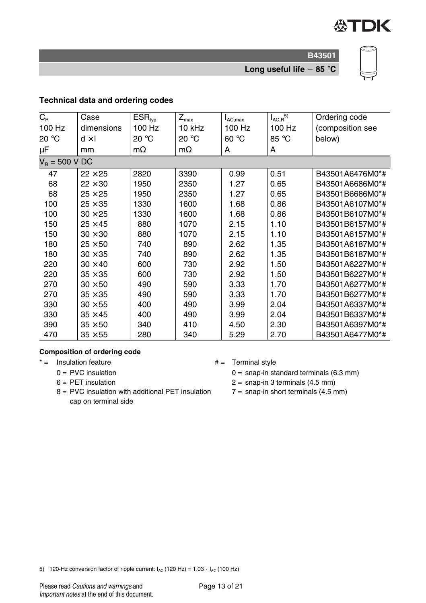

**Long useful life 85** °**C**

#### **Technical data and ordering codes**

| $C_{\rm R}$      | Case           | ESR <sub>typ</sub> | $Z_{\sf max}$ | $I_{AC,max}$ | $I_{AC,R}^{5}$ | Ordering code    |
|------------------|----------------|--------------------|---------------|--------------|----------------|------------------|
| 100 Hz           | dimensions     | 100 Hz             | 10 kHz        | 100 Hz       | 100 Hz         | (composition see |
| 20 °C            | $d \times I$   | 20 °C              | 20 °C         | 60 °C        | 85 °C          | below)           |
| μF               | mm             | $m\Omega$          | $m\Omega$     | A            | A              |                  |
| $V_B = 500 V DC$ |                |                    |               |              |                |                  |
| 47               | $22 \times 25$ | 2820               | 3390          | 0.99         | 0.51           | B43501A6476M0*#  |
| 68               | $22 \times 30$ | 1950               | 2350          | 1.27         | 0.65           | B43501A6686M0*#  |
| 68               | $25 \times 25$ | 1950               | 2350          | 1.27         | 0.65           | B43501B6686M0*#  |
| 100              | $25 \times 35$ | 1330               | 1600          | 1.68         | 0.86           | B43501A6107M0*#  |
| 100              | $30 \times 25$ | 1330               | 1600          | 1.68         | 0.86           | B43501B6107M0*#  |
| 150              | $25 \times 45$ | 880                | 1070          | 2.15         | 1.10           | B43501B6157M0*#  |
| 150              | $30 \times 30$ | 880                | 1070          | 2.15         | 1.10           | B43501A6157M0*#  |
| 180              | $25 \times 50$ | 740                | 890           | 2.62         | 1.35           | B43501A6187M0*#  |
| 180              | $30 \times 35$ | 740                | 890           | 2.62         | 1.35           | B43501B6187M0*#  |
| 220              | $30 \times 40$ | 600                | 730           | 2.92         | 1.50           | B43501A6227M0*#  |
| 220              | $35 \times 35$ | 600                | 730           | 2.92         | 1.50           | B43501B6227M0*#  |
| 270              | $30 \times 50$ | 490                | 590           | 3.33         | 1.70           | B43501A6277M0*#  |
| 270              | $35 \times 35$ | 490                | 590           | 3.33         | 1.70           | B43501B6277M0*#  |
| 330              | $30 \times 55$ | 400                | 490           | 3.99         | 2.04           | B43501A6337M0*#  |
| 330              | $35 \times 45$ | 400                | 490           | 3.99         | 2.04           | B43501B6337M0*#  |
| 390              | $35 \times 50$ | 340                | 410           | 4.50         | 2.30           | B43501A6397M0*#  |
| 470              | $35 \times 55$ | 280                | 340           | 5.29         | 2.70           | B43501A6477M0*#  |

#### **Composition of ordering code**

 $* =$  Insulation feature  $* =$  Terminal style

- $0 =$  PVC insulation
- $6 = PET$  insulation
- 8 = PVC insulation with additional PET insulation cap on terminal side
- - $0 =$  snap-in standard terminals (6.3 mm)
	- $2 =$  snap-in 3 terminals (4.5 mm)
	- $7 =$  snap-in short terminals (4.5 mm)

5) 120-Hz conversion factor of ripple current:  $I_{AC}$  (120 Hz) = 1.03  $\cdot$   $I_{AC}$  (100 Hz)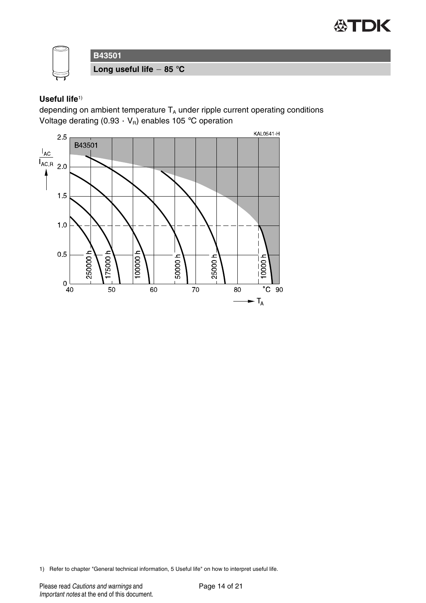



# **Useful life**1)

depending on ambient temperature  $T_A$  under ripple current operating conditions Voltage derating  $(0.93 \cdot V_R)$  enables 105 °C operation



1) Refer to chapter "General technical information, 5 Useful life" on how to interpret useful life.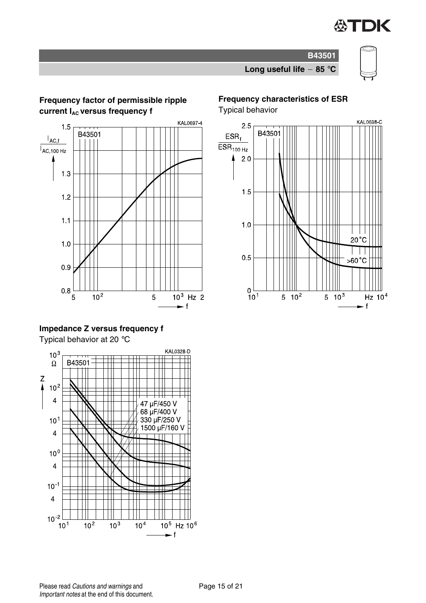

# **Long useful life 85** °**C**

**B43501**

#### **Frequency factor of permissible ripple current I<sub>AC</sub> versus frequency f**



## **Impedance Z versus frequency f**

Typical behavior at 20 °C



# **Frequency characteristics of ESR**

Typical behavior

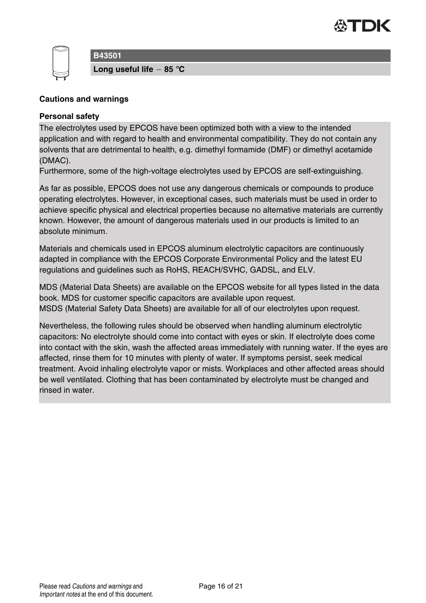



**Long useful life 85** °**C**

#### **Cautions and warnings**

#### **Personal safety**

The electrolytes used by EPCOS have been optimized both with a view to the intended application and with regard to health and environmental compatibility. They do not contain any solvents that are detrimental to health, e.g. dimethyl formamide (DMF) or dimethyl acetamide (DMAC).

Furthermore, some of the high-voltage electrolytes used by EPCOS are self-extinguishing.

As far as possible, EPCOS does not use any dangerous chemicals or compounds to produce operating electrolytes. However, in exceptional cases, such materials must be used in order to achieve specific physical and electrical properties because no alternative materials are currently known. However, the amount of dangerous materials used in our products is limited to an absolute minimum.

Materials and chemicals used in EPCOS aluminum electrolytic capacitors are continuously adapted in compliance with the EPCOS Corporate Environmental Policy and the latest EU regulations and guidelines such as RoHS, REACH/SVHC, GADSL, and ELV.

MDS (Material Data Sheets) are available on the EPCOS website for all types listed in the data book. MDS for customer specific capacitors are available upon request. MSDS (Material Safety Data Sheets) are available for all of our electrolytes upon request.

Nevertheless, the following rules should be observed when handling aluminum electrolytic capacitors: No electrolyte should come into contact with eyes or skin. If electrolyte does come into contact with the skin, wash the affected areas immediately with running water. If the eyes are affected, rinse them for 10 minutes with plenty of water. If symptoms persist, seek medical treatment. Avoid inhaling electrolyte vapor or mists. Workplaces and other affected areas should be well ventilated. Clothing that has been contaminated by electrolyte must be changed and rinsed in water.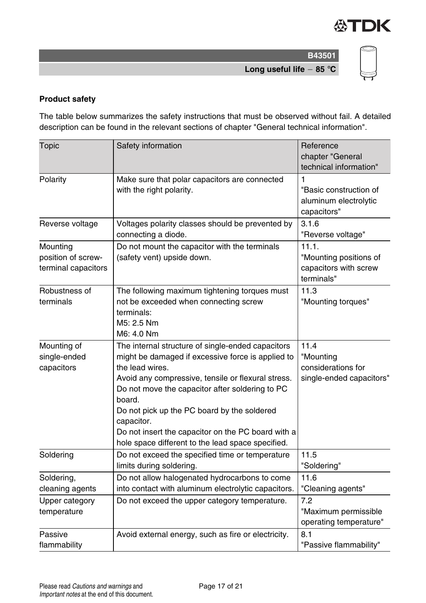

**B43501 Long useful life 85** °**C**

#### **Product safety**

The table below summarizes the safety instructions that must be observed without fail. A detailed description can be found in the relevant sections of chapter "General technical information".

| <b>Topic</b>                                          | Safety information                                                                                                                                                                                                                                                                                                                                                                                                   | Reference<br>chapter "General<br>technical information"                |
|-------------------------------------------------------|----------------------------------------------------------------------------------------------------------------------------------------------------------------------------------------------------------------------------------------------------------------------------------------------------------------------------------------------------------------------------------------------------------------------|------------------------------------------------------------------------|
| Polarity                                              | Make sure that polar capacitors are connected<br>with the right polarity.                                                                                                                                                                                                                                                                                                                                            | 1<br>"Basic construction of<br>aluminum electrolytic<br>capacitors"    |
| Reverse voltage                                       | Voltages polarity classes should be prevented by<br>connecting a diode.                                                                                                                                                                                                                                                                                                                                              | 3.1.6<br>"Reverse voltage"                                             |
| Mounting<br>position of screw-<br>terminal capacitors | Do not mount the capacitor with the terminals<br>(safety vent) upside down.                                                                                                                                                                                                                                                                                                                                          | 11.1.<br>"Mounting positions of<br>capacitors with screw<br>terminals" |
| Robustness of<br>terminals                            | The following maximum tightening torques must<br>not be exceeded when connecting screw<br>terminals:<br>M <sub>5</sub> : 2.5 Nm<br>M6: 4.0 Nm                                                                                                                                                                                                                                                                        | 11.3<br>"Mounting torques"                                             |
| Mounting of<br>single-ended<br>capacitors             | The internal structure of single-ended capacitors<br>might be damaged if excessive force is applied to<br>the lead wires.<br>Avoid any compressive, tensile or flexural stress.<br>Do not move the capacitor after soldering to PC<br>board.<br>Do not pick up the PC board by the soldered<br>capacitor.<br>Do not insert the capacitor on the PC board with a<br>hole space different to the lead space specified. | 11.4<br>"Mounting<br>considerations for<br>single-ended capacitors"    |
| Soldering                                             | Do not exceed the specified time or temperature<br>limits during soldering.                                                                                                                                                                                                                                                                                                                                          | 11.5<br>"Soldering"                                                    |
| Soldering,<br>cleaning agents                         | Do not allow halogenated hydrocarbons to come<br>into contact with aluminum electrolytic capacitors.                                                                                                                                                                                                                                                                                                                 | 11.6<br>"Cleaning agents"                                              |
| Upper category<br>temperature                         | Do not exceed the upper category temperature.                                                                                                                                                                                                                                                                                                                                                                        | 7.2<br>"Maximum permissible<br>operating temperature"                  |
| Passive<br>flammability                               | Avoid external energy, such as fire or electricity.                                                                                                                                                                                                                                                                                                                                                                  | 8.1<br>"Passive flammability"                                          |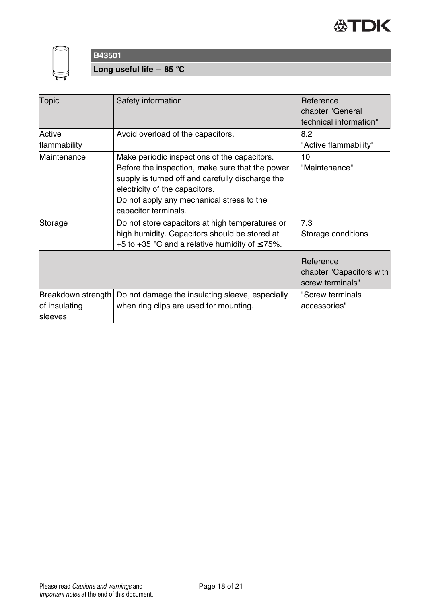



**Long useful life 85** °**C**

| Topic                                          | Safety information                                                                                                                                                                                                                                         | Reference<br>chapter "General<br>technical information"   |
|------------------------------------------------|------------------------------------------------------------------------------------------------------------------------------------------------------------------------------------------------------------------------------------------------------------|-----------------------------------------------------------|
| Active<br>flammability                         | Avoid overload of the capacitors.                                                                                                                                                                                                                          | 8.2<br>"Active flammability"                              |
| Maintenance                                    | Make periodic inspections of the capacitors.<br>Before the inspection, make sure that the power<br>supply is turned off and carefully discharge the<br>electricity of the capacitors.<br>Do not apply any mechanical stress to the<br>capacitor terminals. | 10<br>"Maintenance"                                       |
| Storage                                        | Do not store capacitors at high temperatures or<br>high humidity. Capacitors should be stored at<br>+5 to +35 °C and a relative humidity of $\leq$ 75%.                                                                                                    | 7.3<br>Storage conditions                                 |
|                                                |                                                                                                                                                                                                                                                            | Reference<br>chapter "Capacitors with<br>screw terminals" |
| Breakdown strength<br>of insulating<br>sleeves | Do not damage the insulating sleeve, especially<br>when ring clips are used for mounting.                                                                                                                                                                  | "Screw terminals -<br>accessories"                        |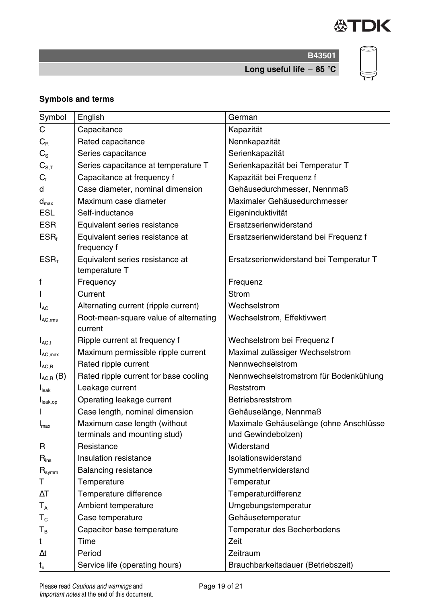

**B43501 Long useful life 85** °**C**



**Symbols and terms**

| Symbol               | English                                          | German                                  |
|----------------------|--------------------------------------------------|-----------------------------------------|
| C                    | Capacitance                                      | Kapazität                               |
| $C_{R}$              | Rated capacitance                                | Nennkapazität                           |
| $C_{\rm S}$          | Series capacitance                               | Serienkapazität                         |
| $C_{\rm S.T}$        | Series capacitance at temperature T              | Serienkapazität bei Temperatur T        |
| $C_{\text{f}}$       | Capacitance at frequency f                       | Kapazität bei Frequenz f                |
| d                    | Case diameter, nominal dimension                 | Gehäusedurchmesser, Nennmaß             |
| $d_{\text{max}}$     | Maximum case diameter                            | Maximaler Gehäusedurchmesser            |
| <b>ESL</b>           | Self-inductance                                  | Eigeninduktivität                       |
| <b>ESR</b>           | Equivalent series resistance                     | Ersatzserienwiderstand                  |
| $ESR_t$              | Equivalent series resistance at<br>frequency f   | Ersatzserienwiderstand bei Frequenz f   |
| ESR <sub>T</sub>     | Equivalent series resistance at<br>temperature T | Ersatzserienwiderstand bei Temperatur T |
| f                    | Frequency                                        | Frequenz                                |
|                      | Current                                          | Strom                                   |
| $I_{AC}$             | Alternating current (ripple current)             | Wechselstrom                            |
| $I_{AC,rms}$         | Root-mean-square value of alternating<br>current | Wechselstrom, Effektivwert              |
| $I_{AC,f}$           | Ripple current at frequency f                    | Wechselstrom bei Frequenz f             |
| $I_{AC,max}$         | Maximum permissible ripple current               | Maximal zulässiger Wechselstrom         |
| $I_{AC,R}$           | Rated ripple current                             | Nennwechselstrom                        |
| $I_{AC,R}$ (B)       | Rated ripple current for base cooling            | Nennwechselstromstrom für Bodenkühlung  |
| $I_{\text{leak}}$    | Leakage current                                  | Reststrom                               |
| $I_{\text{leak,op}}$ | Operating leakage current                        | Betriebsreststrom                       |
|                      | Case length, nominal dimension                   | Gehäuselänge, Nennmaß                   |
| $I_{\text{max}}$     | Maximum case length (without                     | Maximale Gehäuselänge (ohne Anschlüsse  |
|                      | terminals and mounting stud)                     | und Gewindebolzen)                      |
| R                    | Resistance                                       | Widerstand                              |
| $R_{ins}$            | Insulation resistance                            | Isolationswiderstand                    |
| $R_{symm}$           | Balancing resistance                             | Symmetrierwiderstand                    |
| т                    | Temperature                                      | Temperatur                              |
| $\Delta T$           | Temperature difference                           | Temperaturdifferenz                     |
| $T_A$                | Ambient temperature                              | Umgebungstemperatur                     |
| $T_c$                | Case temperature                                 | Gehäusetemperatur                       |
| Т <sub>в</sub>       | Capacitor base temperature                       | Temperatur des Becherbodens             |
| t                    | Time                                             | Zeit                                    |
| Δt                   | Period                                           | Zeitraum                                |
| $t_{b}$              | Service life (operating hours)                   | Brauchbarkeitsdauer (Betriebszeit)      |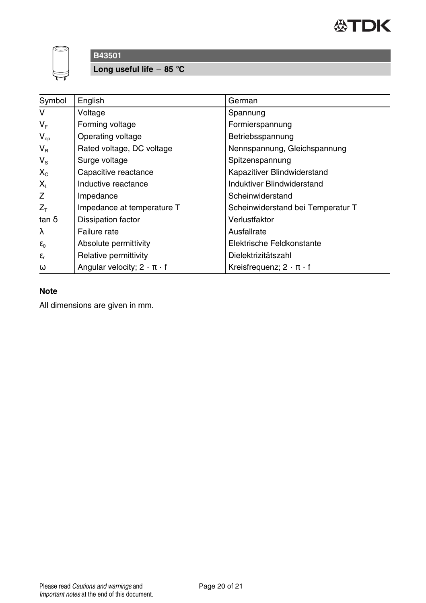



**Long useful life 85** °**C**

| Symbol            | English                                 | German                               |
|-------------------|-----------------------------------------|--------------------------------------|
| v                 | Voltage                                 | Spannung                             |
| V <sub>F</sub>    | Forming voltage                         | Formierspannung                      |
| $V_{op}$          | Operating voltage                       | Betriebsspannung                     |
| $V_{\rm R}$       | Rated voltage, DC voltage               | Nennspannung, Gleichspannung         |
| $V_{\rm S}$       | Surge voltage                           | Spitzenspannung                      |
| $X_{C}$           | Capacitive reactance                    | Kapazitiver Blindwiderstand          |
| $X_{L}$           | Inductive reactance                     | Induktiver Blindwiderstand           |
| Ζ                 | Impedance                               | Scheinwiderstand                     |
| $Z_{\tau}$        | Impedance at temperature T              | Scheinwiderstand bei Temperatur T    |
| $\tan \delta$     | Dissipation factor                      | Verlustfaktor                        |
| λ                 | Failure rate                            | Ausfallrate                          |
| $\varepsilon_0$   | Absolute permittivity                   | Elektrische Feldkonstante            |
| $\varepsilon_{r}$ | Relative permittivity                   | Dielektrizitätszahl                  |
| $\omega$          | Angular velocity; $2 \cdot \pi \cdot f$ | Kreisfrequenz; $2 \cdot \pi \cdot f$ |

## **Note**

All dimensions are given in mm.